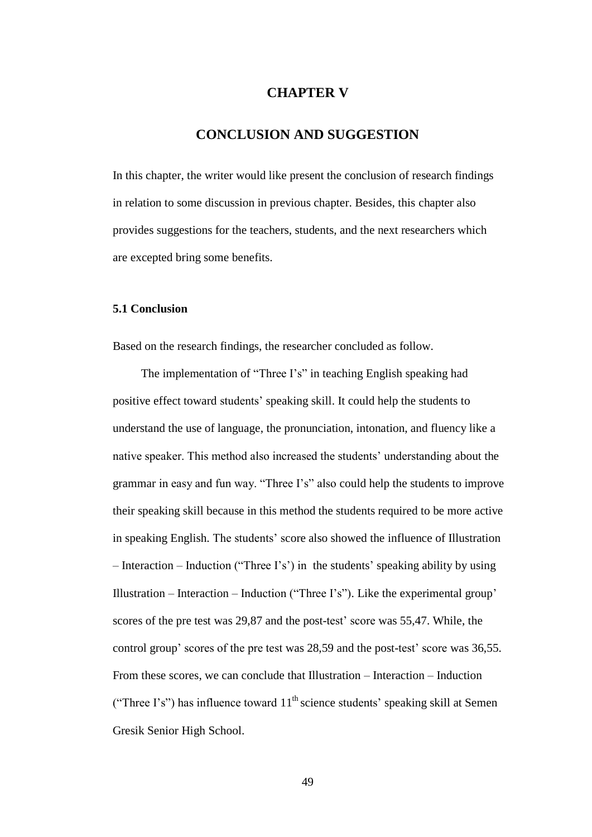# **CHAPTER V**

## **CONCLUSION AND SUGGESTION**

In this chapter, the writer would like present the conclusion of research findings in relation to some discussion in previous chapter. Besides, this chapter also provides suggestions for the teachers, students, and the next researchers which are excepted bring some benefits.

#### **5.1 Conclusion**

Based on the research findings, the researcher concluded as follow.

The implementation of "Three I's" in teaching English speaking had positive effect toward students' speaking skill. It could help the students to understand the use of language, the pronunciation, intonation, and fluency like a native speaker. This method also increased the students' understanding about the grammar in easy and fun way. "Three I's" also could help the students to improve their speaking skill because in this method the students required to be more active in speaking English. The students' score also showed the influence of Illustration – Interaction – Induction ("Three I's') in the students' speaking ability by using Illustration – Interaction – Induction ("Three I's"). Like the experimental group' scores of the pre test was 29,87 and the post-test' score was 55,47. While, the control group' scores of the pre test was 28,59 and the post-test' score was 36,55. From these scores, we can conclude that Illustration – Interaction – Induction ("Three I's") has influence toward  $11<sup>th</sup>$  science students' speaking skill at Semen Gresik Senior High School.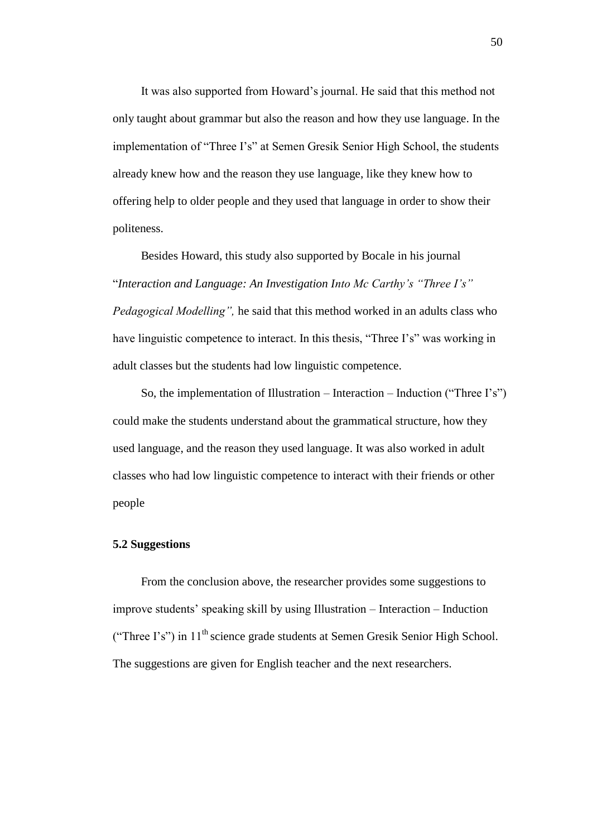It was also supported from Howard's journal. He said that this method not only taught about grammar but also the reason and how they use language. In the implementation of "Three I's" at Semen Gresik Senior High School, the students already knew how and the reason they use language, like they knew how to offering help to older people and they used that language in order to show their politeness.

Besides Howard, this study also supported by Bocale in his journal "*Interaction and Language: An Investigation Into Mc Carthy's "Three I's" Pedagogical Modelling",* he said that this method worked in an adults class who have linguistic competence to interact. In this thesis, "Three I's" was working in adult classes but the students had low linguistic competence.

So, the implementation of Illustration – Interaction – Induction ("Three I's") could make the students understand about the grammatical structure, how they used language, and the reason they used language. It was also worked in adult classes who had low linguistic competence to interact with their friends or other people

#### **5.2 Suggestions**

From the conclusion above, the researcher provides some suggestions to improve students' speaking skill by using Illustration – Interaction – Induction ("Three I's") in  $11<sup>th</sup>$  science grade students at Semen Gresik Senior High School. The suggestions are given for English teacher and the next researchers.